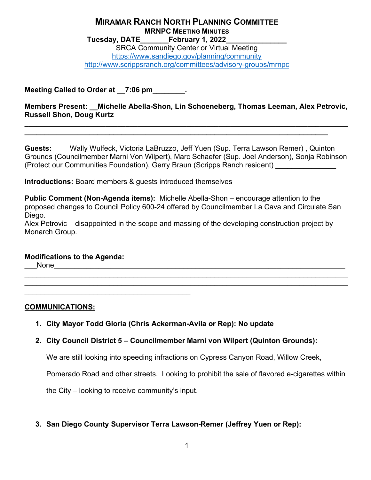#### **MIRAMAR RANCH NORTH PLANNING COMMITTEE MRNPC MEETING MINUTES Tuesday, DATE\_\_\_\_\_\_\_February 1, 2022\_\_\_\_\_\_\_\_\_\_\_\_\_\_\_**

SRCA Community Center or Virtual Meeting <https://www.sandiego.gov/planning/community> <http://www.scrippsranch.org/committees/advisory-groups/mrnpc>

**Meeting Called to Order at \_\_7:06 pm\_\_\_\_\_\_\_\_.**

**Members Present: \_\_Michelle Abella-Shon, Lin Schoeneberg, Thomas Leeman, Alex Petrovic, Russell Shon, Doug Kurtz** 

**\_\_\_\_\_\_\_\_\_\_\_\_\_\_\_\_\_\_\_\_\_\_\_\_\_\_\_\_\_\_\_\_\_\_\_\_\_\_\_\_\_\_\_\_\_\_\_\_\_\_\_\_\_\_\_\_\_\_\_\_\_\_\_\_\_\_\_\_\_\_\_\_\_\_\_\_\_\_\_\_**

**\_\_\_\_\_\_\_\_\_\_\_\_\_\_\_\_\_\_\_\_\_\_\_\_\_\_\_\_\_\_\_\_\_\_\_\_\_\_\_\_\_\_\_\_\_\_\_\_\_\_\_\_\_\_\_\_\_\_\_\_\_\_\_\_\_\_\_\_\_\_\_\_\_\_\_**

**Guests:** \_\_\_\_Wally Wulfeck, Victoria LaBruzzo, Jeff Yuen (Sup. Terra Lawson Remer) , Quinton Grounds (Councilmember Marni Von Wilpert), Marc Schaefer (Sup. Joel Anderson), Sonja Robinson (Protect our Communities Foundation), Gerry Braun (Scripps Ranch resident)

**Introductions:** Board members & guests introduced themselves

**Public Comment (Non-Agenda items):** Michelle Abella-Shon – encourage attention to the proposed changes to Council Policy 600-24 offered by Councilmember La Cava and Circulate San Diego.

Alex Petrovic – disappointed in the scope and massing of the developing construction project by Monarch Group.

\_\_\_\_\_\_\_\_\_\_\_\_\_\_\_\_\_\_\_\_\_\_\_\_\_\_\_\_\_\_\_\_\_\_\_\_\_\_\_\_\_\_\_\_\_\_\_\_\_\_\_\_\_\_\_\_\_\_\_\_\_\_\_\_\_\_\_\_\_\_\_\_\_\_\_\_\_\_\_\_ \_\_\_\_\_\_\_\_\_\_\_\_\_\_\_\_\_\_\_\_\_\_\_\_\_\_\_\_\_\_\_\_\_\_\_\_\_\_\_\_\_\_\_\_\_\_\_\_\_\_\_\_\_\_\_\_\_\_\_\_\_\_\_\_\_\_\_\_\_\_\_\_\_\_\_\_\_\_\_\_

#### **Modifications to the Agenda:**

 $N$ one $\blacksquare$ 

**COMMUNICATIONS:**

**1. City Mayor Todd Gloria (Chris Ackerman-Avila or Rep): No update**

# **2. City Council District 5 – Councilmember Marni von Wilpert (Quinton Grounds):**

We are still looking into speeding infractions on Cypress Canyon Road, Willow Creek,

Pomerado Road and other streets. Looking to prohibit the sale of flavored e-cigarettes within

the City – looking to receive community's input.

\_\_\_\_\_\_\_\_\_\_\_\_\_\_\_\_\_\_\_\_\_\_\_\_\_\_\_\_\_\_\_\_\_\_\_\_\_\_\_\_\_

# **3. San Diego County Supervisor Terra Lawson-Remer (Jeffrey Yuen or Rep):**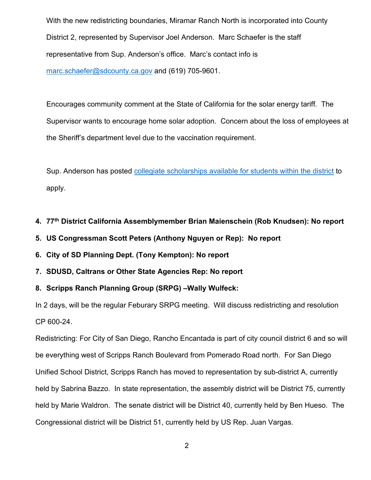With the new redistricting boundaries, Miramar Ranch North is incorporated into County District 2, represented by Supervisor Joel Anderson. Marc Schaefer is the staff representative from Sup. Anderson's office. Marc's contact info is [marc.schaefer@sdcounty.ca.gov](mailto:marc.schaefer@sdcounty.ca.gov) and (619) 705-9601.

Encourages community comment at the State of California for the solar energy tariff. The Supervisor wants to encourage home solar adoption. Concern about the loss of employees at the Sheriff's department level due to the vaccination requirement.

Sup. Anderson has posted [collegiate scholarships available for students within the district](https://www.supervisorjoelanderson.com/content/d2/us/en/community/scholarship-list.html) to apply.

# **4. 77th District California Assemblymember Brian Maienschein (Rob Knudsen): No report**

- **5. US Congressman Scott Peters (Anthony Nguyen or Rep): No report**
- **6. City of SD Planning Dept. (Tony Kempton): No report**
- **7. SDUSD, Caltrans or Other State Agencies Rep: No report**
- **8. Scripps Ranch Planning Group (SRPG) –Wally Wulfeck:**

In 2 days, will be the regular Feburary SRPG meeting. Will discuss redistricting and resolution CP 600-24.

Redistricting: For City of San Diego, Rancho Encantada is part of city council district 6 and so will be everything west of Scripps Ranch Boulevard from Pomerado Road north. For San Diego Unified School District, Scripps Ranch has moved to representation by sub-district A, currently held by Sabrina Bazzo. In state representation, the assembly district will be District 75, currently held by Marie Waldron. The senate district will be District 40, currently held by Ben Hueso. The Congressional district will be District 51, currently held by US Rep. Juan Vargas.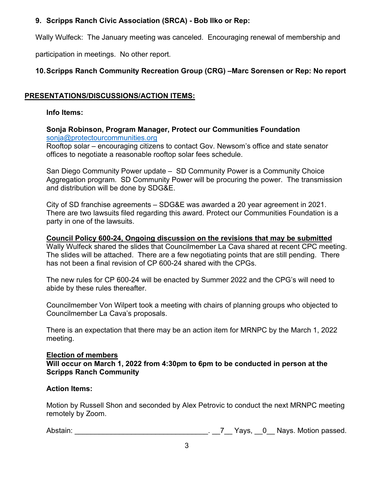# **9. Scripps Ranch Civic Association (SRCA) - Bob Ilko or Rep:**

Wally Wulfeck: The January meeting was canceled. Encouraging renewal of membership and

participation in meetings. No other report.

# **10.Scripps Ranch Community Recreation Group (CRG) –Marc Sorensen or Rep: No report**

# **PRESENTATIONS/DISCUSSIONS/ACTION ITEMS:**

## **Info Items:**

**Sonja Robinson, Program Manager, Protect our Communities Foundation** [sonja@protectourcommunities.org](mailto:sonja@protectourcommunities.org)

Rooftop solar – encouraging citizens to contact Gov. Newsom's office and state senator offices to negotiate a reasonable rooftop solar fees schedule.

San Diego Community Power update – SD Community Power is a Community Choice Aggregation program. SD Community Power will be procuring the power. The transmission and distribution will be done by SDG&E.

City of SD franchise agreements – SDG&E was awarded a 20 year agreement in 2021. There are two lawsuits filed regarding this award. Protect our Communities Foundation is a party in one of the lawsuits.

## **Council Policy 600-24, Ongoing discussion on the revisions that may be submitted**

Wally Wulfeck shared the slides that Councilmember La Cava shared at recent CPC meeting. The slides will be attached. There are a few negotiating points that are still pending. There has not been a final revision of CP 600-24 shared with the CPGs.

The new rules for CP 600-24 will be enacted by Summer 2022 and the CPG's will need to abide by these rules thereafter.

Councilmember Von Wilpert took a meeting with chairs of planning groups who objected to Councilmember La Cava's proposals.

There is an expectation that there may be an action item for MRNPC by the March 1, 2022 meeting.

#### **Election of members**

**Will occur on March 1, 2022 from 4:30pm to 6pm to be conducted in person at the Scripps Ranch Community** 

#### **Action Items:**

Motion by Russell Shon and seconded by Alex Petrovic to conduct the next MRNPC meeting remotely by Zoom.

Abstain: \_\_\_\_\_\_\_\_\_\_\_\_\_\_\_\_\_\_\_\_\_\_\_\_\_\_\_\_\_\_\_\_\_. \_\_7\_\_ Yays, \_\_0\_\_ Nays. Motion passed.